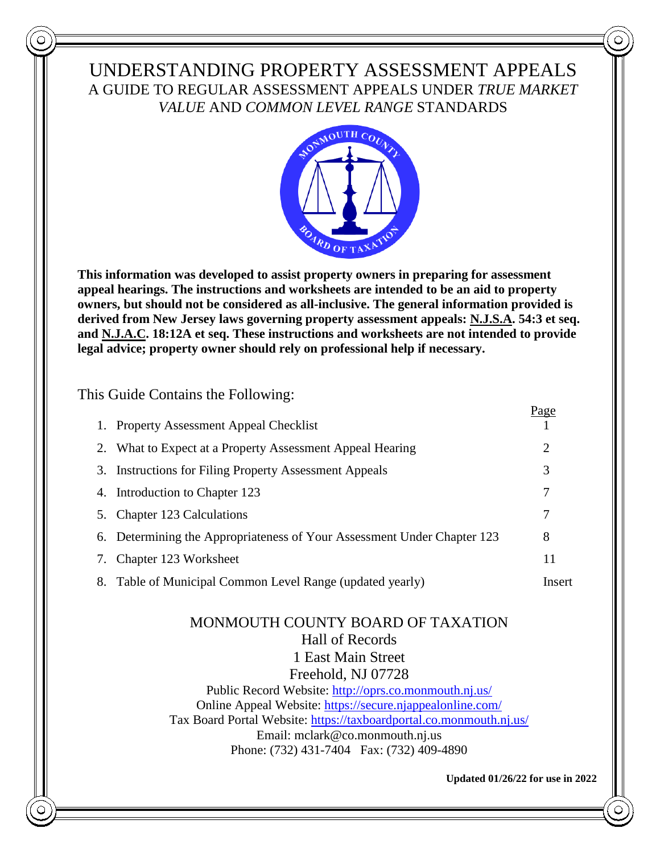## UNDERSTANDING PROPERTY ASSESSMENT APPEALS A GUIDE TO REGULAR ASSESSMENT APPEALS UNDER *TRUE MARKET VALUE* AND *COMMON LEVEL RANGE* STANDARDS



**This information was developed to assist property owners in preparing for assessment appeal hearings. The instructions and worksheets are intended to be an aid to property owners, but should not be considered as all-inclusive. The general information provided is derived from New Jersey laws governing property assessment appeals: N.J.S.A. 54:3 et seq. and N.J.A.C. 18:12A et seq. These instructions and worksheets are not intended to provide legal advice; property owner should rely on professional help if necessary.**

### This Guide Contains the Following:

|    |                                                                         | <u>Page</u> |
|----|-------------------------------------------------------------------------|-------------|
|    | 1. Property Assessment Appeal Checklist                                 |             |
|    | What to Expect at a Property Assessment Appeal Hearing                  | 2           |
|    | 3. Instructions for Filing Property Assessment Appeals                  | 3           |
| 4. | Introduction to Chapter 123                                             | 7           |
|    | Chapter 123 Calculations                                                | 7           |
|    | 6. Determining the Appropriateness of Your Assessment Under Chapter 123 | 8           |
| 7. | Chapter 123 Worksheet                                                   | 11          |
| 8. | Table of Municipal Common Level Range (updated yearly)                  | Insert      |

## MONMOUTH COUNTY BOARD OF TAXATION Hall of Records 1 East Main Street Freehold, NJ 07728 Public Record Website:<http://oprs.co.monmouth.nj.us/> Online Appeal Website:<https://secure.njappealonline.com/> Tax Board Portal Website:<https://taxboardportal.co.monmouth.nj.us/>

Email: mclark@co.monmouth.nj.us Phone: (732) 431-7404 Fax: (732) 409-4890

**Updated 01/26/22 for use in 2022**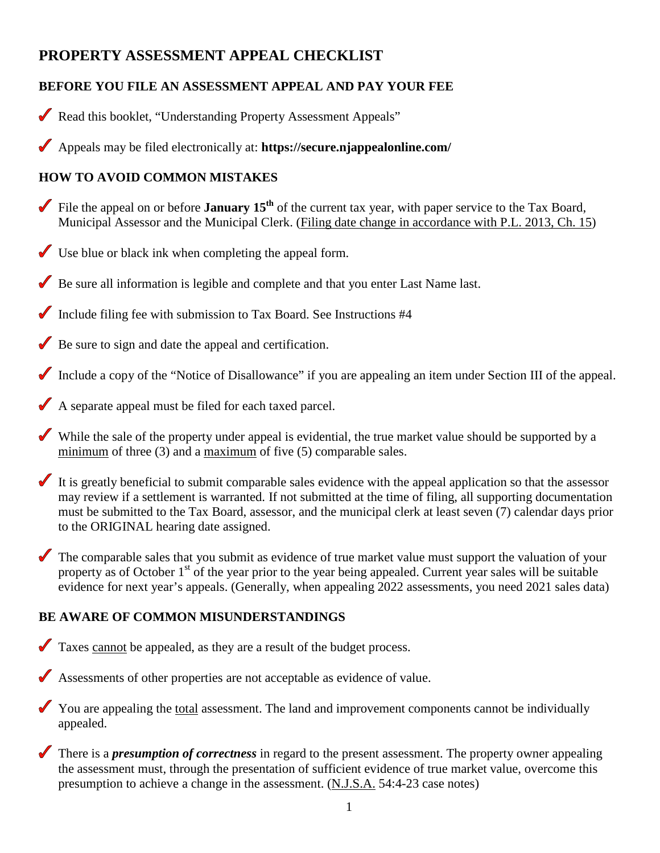# **PROPERTY ASSESSMENT APPEAL CHECKLIST**

## **BEFORE YOU FILE AN ASSESSMENT APPEAL AND PAY YOUR FEE**

- Read this booklet, "Understanding Property Assessment Appeals"
- Appeals may be filed electronically at: **https://secure.njappealonline.com/**

## **HOW TO AVOID COMMON MISTAKES**

- File the appeal on or before **January 15<sup>th</sup>** of the current tax year, with paper service to the Tax Board, Municipal Assessor and the Municipal Clerk. (Filing date change in accordance with P.L. 2013, Ch. 15)
- Use blue or black ink when completing the appeal form.
- Be sure all information is legible and complete and that you enter Last Name last.
- Include filing fee with submission to Tax Board. See Instructions #4
- Be sure to sign and date the appeal and certification.
- Include a copy of the "Notice of Disallowance" if you are appealing an item under Section III of the appeal.
- A separate appeal must be filed for each taxed parcel.
- While the sale of the property under appeal is evidential, the true market value should be supported by a minimum of three (3) and a maximum of five (5) comparable sales.
- It is greatly beneficial to submit comparable sales evidence with the appeal application so that the assessor may review if a settlement is warranted. If not submitted at the time of filing, all supporting documentation must be submitted to the Tax Board, assessor, and the municipal clerk at least seven (7) calendar days prior to the ORIGINAL hearing date assigned.
- The comparable sales that you submit as evidence of true market value must support the valuation of your property as of October 1<sup>st</sup> of the year prior to the year being appealed. Current year sales will be suitable evidence for next year's appeals. (Generally, when appealing 2022 assessments, you need 2021 sales data)

## **BE AWARE OF COMMON MISUNDERSTANDINGS**

- Taxes cannot be appealed, as they are a result of the budget process.
- Assessments of other properties are not acceptable as evidence of value.
- You are appealing the total assessment. The land and improvement components cannot be individually appealed.
- There is a *presumption of correctness* in regard to the present assessment. The property owner appealing the assessment must, through the presentation of sufficient evidence of true market value, overcome this presumption to achieve a change in the assessment. (N.J.S.A. 54:4-23 case notes)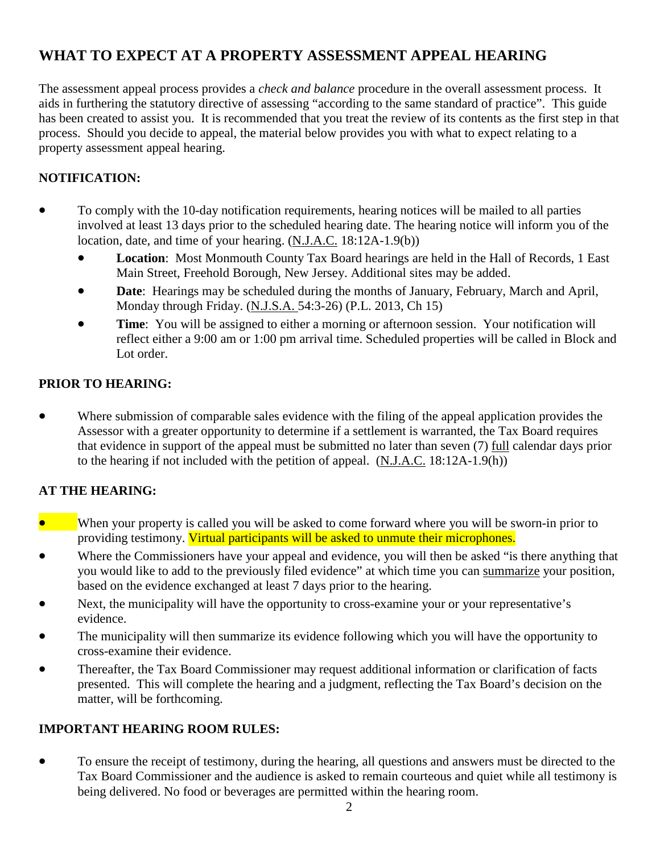# **WHAT TO EXPECT AT A PROPERTY ASSESSMENT APPEAL HEARING**

The assessment appeal process provides a *check and balance* procedure in the overall assessment process. It aids in furthering the statutory directive of assessing "according to the same standard of practice". This guide has been created to assist you. It is recommended that you treat the review of its contents as the first step in that process. Should you decide to appeal, the material below provides you with what to expect relating to a property assessment appeal hearing.

#### **NOTIFICATION:**

- To comply with the 10-day notification requirements, hearing notices will be mailed to all parties involved at least 13 days prior to the scheduled hearing date. The hearing notice will inform you of the location, date, and time of your hearing. (N.J.A.C. 18:12A-1.9(b))
	- **Location**: Most Monmouth County Tax Board hearings are held in the Hall of Records, 1 East Main Street, Freehold Borough, New Jersey. Additional sites may be added.
	- **Date:** Hearings may be scheduled during the months of January, February, March and April, Monday through Friday. (N.J.S.A. 54:3-26) (P.L. 2013, Ch 15)
	- **Time**: You will be assigned to either a morning or afternoon session. Your notification will reflect either a 9:00 am or 1:00 pm arrival time. Scheduled properties will be called in Block and Lot order.

#### **PRIOR TO HEARING:**

• Where submission of comparable sales evidence with the filing of the appeal application provides the Assessor with a greater opportunity to determine if a settlement is warranted, the Tax Board requires that evidence in support of the appeal must be submitted no later than seven (7) full calendar days prior to the hearing if not included with the petition of appeal. (N.J.A.C. 18:12A-1.9(h))

#### **AT THE HEARING:**

- When your property is called you will be asked to come forward where you will be sworn-in prior to providing testimony. Virtual participants will be asked to unmute their microphones.
- Where the Commissioners have your appeal and evidence, you will then be asked "is there anything that you would like to add to the previously filed evidence" at which time you can summarize your position, based on the evidence exchanged at least 7 days prior to the hearing.
- Next, the municipality will have the opportunity to cross-examine your or your representative's evidence.
- The municipality will then summarize its evidence following which you will have the opportunity to cross-examine their evidence.
- Thereafter, the Tax Board Commissioner may request additional information or clarification of facts presented. This will complete the hearing and a judgment, reflecting the Tax Board's decision on the matter, will be forthcoming.

#### **IMPORTANT HEARING ROOM RULES:**

• To ensure the receipt of testimony, during the hearing, all questions and answers must be directed to the Tax Board Commissioner and the audience is asked to remain courteous and quiet while all testimony is being delivered. No food or beverages are permitted within the hearing room.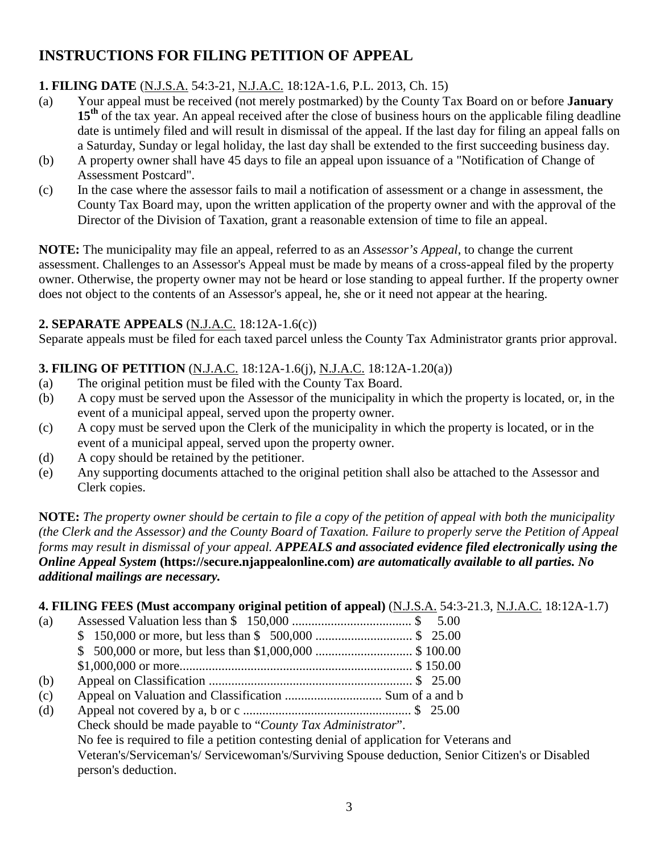# **INSTRUCTIONS FOR FILING PETITION OF APPEAL**

## **1. FILING DATE** (N.J.S.A. 54:3-21, N.J.A.C. 18:12A-1.6, P.L. 2013, Ch. 15)

- (a) Your appeal must be received (not merely postmarked) by the County Tax Board on or before **January 15<sup>th</sup>** of the tax year. An appeal received after the close of business hours on the applicable filing deadline date is untimely filed and will result in dismissal of the appeal. If the last day for filing an appeal falls on a Saturday, Sunday or legal holiday, the last day shall be extended to the first succeeding business day.
- (b) A property owner shall have 45 days to file an appeal upon issuance of a "Notification of Change of Assessment Postcard".
- (c) In the case where the assessor fails to mail a notification of assessment or a change in assessment, the County Tax Board may, upon the written application of the property owner and with the approval of the Director of the Division of Taxation, grant a reasonable extension of time to file an appeal.

**NOTE:** The municipality may file an appeal, referred to as an *Assessor's Appeal*, to change the current assessment. Challenges to an Assessor's Appeal must be made by means of a cross-appeal filed by the property owner. Otherwise, the property owner may not be heard or lose standing to appeal further. If the property owner does not object to the contents of an Assessor's appeal, he, she or it need not appear at the hearing.

### **2. SEPARATE APPEALS** (N.J.A.C. 18:12A-1.6(c))

Separate appeals must be filed for each taxed parcel unless the County Tax Administrator grants prior approval.

## **3. FILING OF PETITION** (N.J.A.C. 18:12A-1.6(j), N.J.A.C. 18:12A-1.20(a))

- (a) The original petition must be filed with the County Tax Board.
- (b) A copy must be served upon the Assessor of the municipality in which the property is located, or, in the event of a municipal appeal, served upon the property owner.
- (c) A copy must be served upon the Clerk of the municipality in which the property is located, or in the event of a municipal appeal, served upon the property owner.
- (d) A copy should be retained by the petitioner.
- (e) Any supporting documents attached to the original petition shall also be attached to the Assessor and Clerk copies.

**NOTE:** *The property owner should be certain to file a copy of the petition of appeal with both the municipality (the Clerk and the Assessor) and the County Board of Taxation. Failure to properly serve the Petition of Appeal forms may result in dismissal of your appeal. APPEALS and associated evidence filed electronically using the Online Appeal System* **(https://secure.njappealonline.com)** *are automatically available to all parties. No additional mailings are necessary.*

|     |                                                                                         | 4. FILING FEES (Must accompany original petition of appeal) (N.J.S.A. 54:3-21.3, N.J.A.C. 18:12A-1.7) |
|-----|-----------------------------------------------------------------------------------------|-------------------------------------------------------------------------------------------------------|
| (a) |                                                                                         |                                                                                                       |
|     |                                                                                         |                                                                                                       |
|     |                                                                                         |                                                                                                       |
|     |                                                                                         |                                                                                                       |
| (b) |                                                                                         |                                                                                                       |
| (c) |                                                                                         |                                                                                                       |
| (d) |                                                                                         |                                                                                                       |
|     | Check should be made payable to "County Tax Administrator".                             |                                                                                                       |
|     | No fee is required to file a petition contesting denial of application for Veterans and |                                                                                                       |
|     | person's deduction.                                                                     | Veteran's/Serviceman's/Servicewoman's/Surviving Spouse deduction, Senior Citizen's or Disabled        |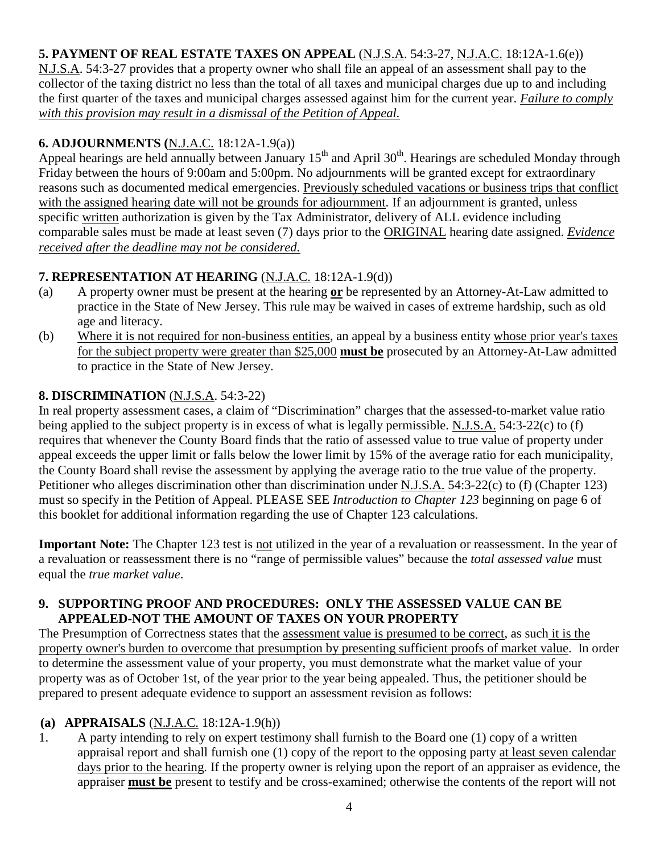## **5. PAYMENT OF REAL ESTATE TAXES ON APPEAL** (N.J.S.A. 54:3-27, N.J.A.C. 18:12A-1.6(e))

N.J.S.A. 54:3-27 provides that a property owner who shall file an appeal of an assessment shall pay to the collector of the taxing district no less than the total of all taxes and municipal charges due up to and including the first quarter of the taxes and municipal charges assessed against him for the current year. *Failure to comply with this provision may result in a dismissal of the Petition of Appeal.*

## **6. ADJOURNMENTS (**N.J.A.C. 18:12A-1.9(a))

Appeal hearings are held annually between January  $15<sup>th</sup>$  and April 30<sup>th</sup>. Hearings are scheduled Monday through Friday between the hours of 9:00am and 5:00pm. No adjournments will be granted except for extraordinary reasons such as documented medical emergencies. Previously scheduled vacations or business trips that conflict with the assigned hearing date will not be grounds for adjournment. If an adjournment is granted, unless specific written authorization is given by the Tax Administrator, delivery of ALL evidence including comparable sales must be made at least seven (7) days prior to the ORIGINAL hearing date assigned. *Evidence received after the deadline may not be considered.*

## **7. REPRESENTATION AT HEARING** (N.J.A.C. 18:12A-1.9(d))

- (a) A property owner must be present at the hearing **or** be represented by an Attorney-At-Law admitted to practice in the State of New Jersey. This rule may be waived in cases of extreme hardship, such as old age and literacy.
- (b) Where it is not required for non-business entities, an appeal by a business entity whose prior year's taxes for the subject property were greater than \$25,000 **must be** prosecuted by an Attorney-At-Law admitted to practice in the State of New Jersey.

### **8. DISCRIMINATION** (N.J.S.A. 54:3-22)

In real property assessment cases, a claim of "Discrimination" charges that the assessed-to-market value ratio being applied to the subject property is in excess of what is legally permissible. N.J.S.A. 54:3-22(c) to (f) requires that whenever the County Board finds that the ratio of assessed value to true value of property under appeal exceeds the upper limit or falls below the lower limit by 15% of the average ratio for each municipality, the County Board shall revise the assessment by applying the average ratio to the true value of the property. Petitioner who alleges discrimination other than discrimination under N.J.S.A. 54:3-22(c) to (f) (Chapter 123) must so specify in the Petition of Appeal. PLEASE SEE *Introduction to Chapter 123* beginning on page 6 of this booklet for additional information regarding the use of Chapter 123 calculations.

**Important Note:** The Chapter 123 test is not utilized in the year of a revaluation or reassessment. In the year of a revaluation or reassessment there is no "range of permissible values" because the *total assessed value* must equal the *true market value*.

#### **9. SUPPORTING PROOF AND PROCEDURES: ONLY THE ASSESSED VALUE CAN BE APPEALED-NOT THE AMOUNT OF TAXES ON YOUR PROPERTY**

The Presumption of Correctness states that the assessment value is presumed to be correct, as such it is the property owner's burden to overcome that presumption by presenting sufficient proofs of market value. In order to determine the assessment value of your property, you must demonstrate what the market value of your property was as of October 1st, of the year prior to the year being appealed. Thus, the petitioner should be prepared to present adequate evidence to support an assessment revision as follows:

### **(a) APPRAISALS** (N.J.A.C. 18:12A-1.9(h))

1. A party intending to rely on expert testimony shall furnish to the Board one (1) copy of a written appraisal report and shall furnish one (1) copy of the report to the opposing party at least seven calendar days prior to the hearing. If the property owner is relying upon the report of an appraiser as evidence, the appraiser **must be** present to testify and be cross-examined; otherwise the contents of the report will not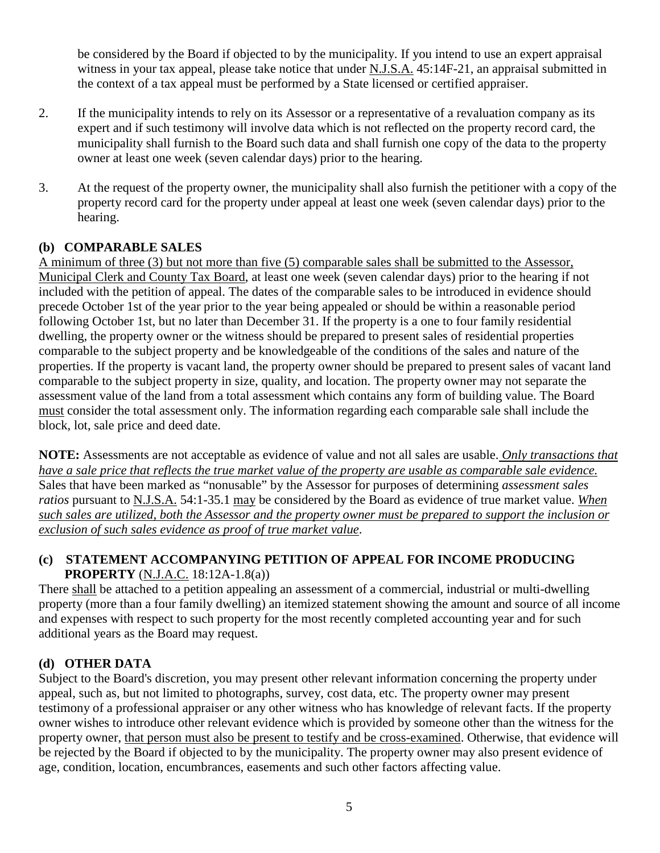be considered by the Board if objected to by the municipality. If you intend to use an expert appraisal witness in your tax appeal, please take notice that under N.J.S.A. 45:14F-21, an appraisal submitted in the context of a tax appeal must be performed by a State licensed or certified appraiser.

- 2. If the municipality intends to rely on its Assessor or a representative of a revaluation company as its expert and if such testimony will involve data which is not reflected on the property record card, the municipality shall furnish to the Board such data and shall furnish one copy of the data to the property owner at least one week (seven calendar days) prior to the hearing.
- 3. At the request of the property owner, the municipality shall also furnish the petitioner with a copy of the property record card for the property under appeal at least one week (seven calendar days) prior to the hearing.

#### **(b) COMPARABLE SALES**

A minimum of three (3) but not more than five (5) comparable sales shall be submitted to the Assessor, Municipal Clerk and County Tax Board, at least one week (seven calendar days) prior to the hearing if not included with the petition of appeal. The dates of the comparable sales to be introduced in evidence should precede October 1st of the year prior to the year being appealed or should be within a reasonable period following October 1st, but no later than December 31. If the property is a one to four family residential dwelling, the property owner or the witness should be prepared to present sales of residential properties comparable to the subject property and be knowledgeable of the conditions of the sales and nature of the properties. If the property is vacant land, the property owner should be prepared to present sales of vacant land comparable to the subject property in size, quality, and location. The property owner may not separate the assessment value of the land from a total assessment which contains any form of building value. The Board must consider the total assessment only. The information regarding each comparable sale shall include the block, lot, sale price and deed date.

**NOTE:** Assessments are not acceptable as evidence of value and not all sales are usable. *Only transactions that have a sale price that reflects the true market value of the property are usable as comparable sale evidence.* Sales that have been marked as "nonusable" by the Assessor for purposes of determining *assessment sales ratios* pursuant to N.J.S.A. 54:1-35.1 may be considered by the Board as evidence of true market value. *When such sales are utilized, both the Assessor and the property owner must be prepared to support the inclusion or exclusion of such sales evidence as proof of true market value*.

#### **(c) STATEMENT ACCOMPANYING PETITION OF APPEAL FOR INCOME PRODUCING PROPERTY** (N.J.A.C. 18:12A-1.8(a))

There shall be attached to a petition appealing an assessment of a commercial, industrial or multi-dwelling property (more than a four family dwelling) an itemized statement showing the amount and source of all income and expenses with respect to such property for the most recently completed accounting year and for such additional years as the Board may request.

### **(d) OTHER DATA**

Subject to the Board's discretion, you may present other relevant information concerning the property under appeal, such as, but not limited to photographs, survey, cost data, etc. The property owner may present testimony of a professional appraiser or any other witness who has knowledge of relevant facts. If the property owner wishes to introduce other relevant evidence which is provided by someone other than the witness for the property owner, that person must also be present to testify and be cross-examined. Otherwise, that evidence will be rejected by the Board if objected to by the municipality. The property owner may also present evidence of age, condition, location, encumbrances, easements and such other factors affecting value.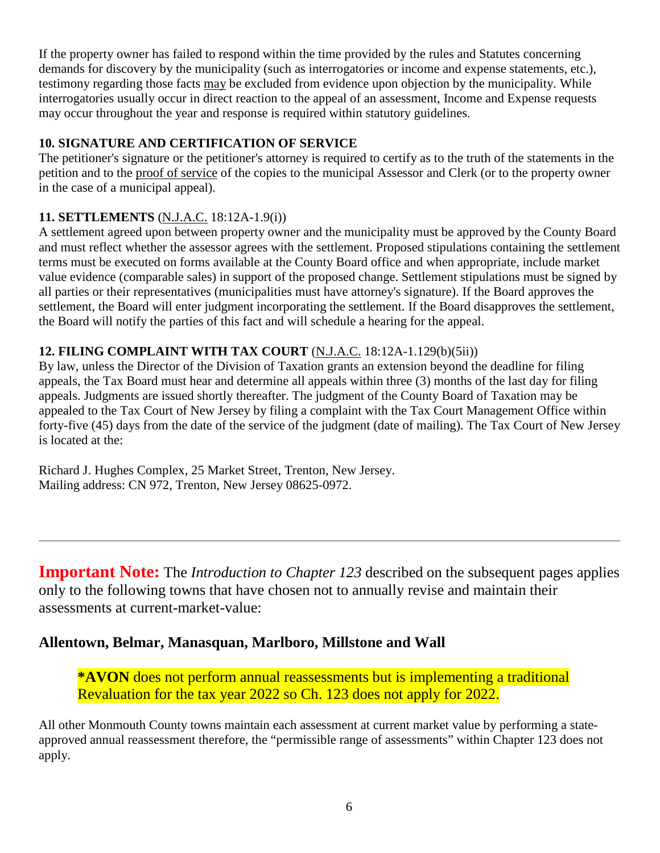If the property owner has failed to respond within the time provided by the rules and Statutes concerning demands for discovery by the municipality (such as interrogatories or income and expense statements, etc.), testimony regarding those facts may be excluded from evidence upon objection by the municipality. While interrogatories usually occur in direct reaction to the appeal of an assessment, Income and Expense requests may occur throughout the year and response is required within statutory guidelines.

### **10. SIGNATURE AND CERTIFICATION OF SERVICE**

The petitioner's signature or the petitioner's attorney is required to certify as to the truth of the statements in the petition and to the proof of service of the copies to the municipal Assessor and Clerk (or to the property owner in the case of a municipal appeal).

## **11. SETTLEMENTS** (N.J.A.C. 18:12A-1.9(i))

A settlement agreed upon between property owner and the municipality must be approved by the County Board and must reflect whether the assessor agrees with the settlement. Proposed stipulations containing the settlement terms must be executed on forms available at the County Board office and when appropriate, include market value evidence (comparable sales) in support of the proposed change. Settlement stipulations must be signed by all parties or their representatives (municipalities must have attorney's signature). If the Board approves the settlement, the Board will enter judgment incorporating the settlement. If the Board disapproves the settlement, the Board will notify the parties of this fact and will schedule a hearing for the appeal.

### **12. FILING COMPLAINT WITH TAX COURT** (N.J.A.C. 18:12A-1.129(b)(5ii))

By law, unless the Director of the Division of Taxation grants an extension beyond the deadline for filing appeals, the Tax Board must hear and determine all appeals within three (3) months of the last day for filing appeals. Judgments are issued shortly thereafter. The judgment of the County Board of Taxation may be appealed to the Tax Court of New Jersey by filing a complaint with the Tax Court Management Office within forty-five (45) days from the date of the service of the judgment (date of mailing). The Tax Court of New Jersey is located at the:

Richard J. Hughes Complex, 25 Market Street, Trenton, New Jersey. Mailing address: CN 972, Trenton, New Jersey 08625-0972.

**Important Note:** The *Introduction to Chapter 123* described on the subsequent pages applies only to the following towns that have chosen not to annually revise and maintain their assessments at current-market-value:

## **Allentown, Belmar, Manasquan, Marlboro, Millstone and Wall**

**\*AVON** does not perform annual reassessments but is implementing a traditional Revaluation for the tax year 2022 so Ch. 123 does not apply for 2022.

All other Monmouth County towns maintain each assessment at current market value by performing a stateapproved annual reassessment therefore, the "permissible range of assessments" within Chapter 123 does not apply.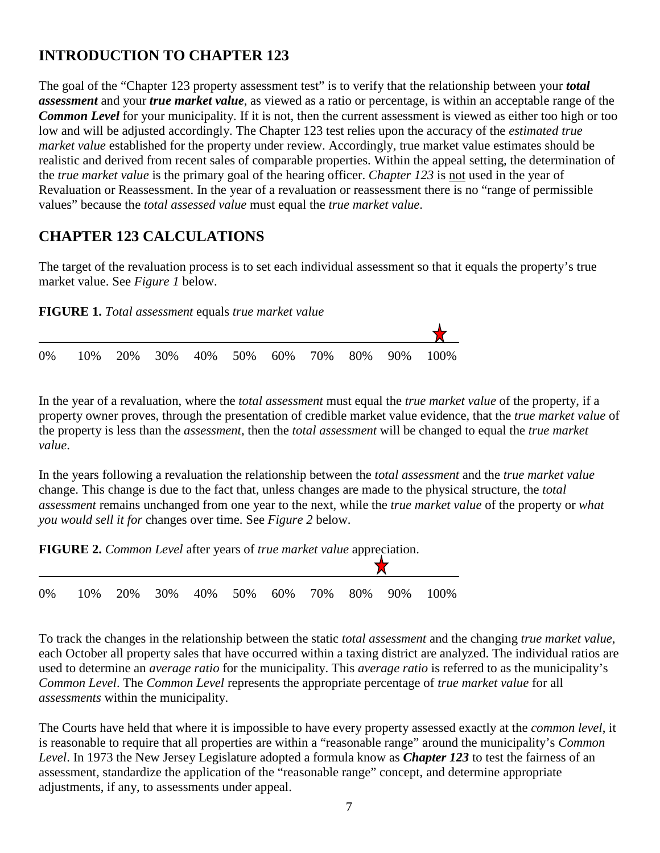# **INTRODUCTION TO CHAPTER 123**

The goal of the "Chapter 123 property assessment test" is to verify that the relationship between your *total assessment* and your *true market value*, as viewed as a ratio or percentage, is within an acceptable range of the *Common Level* for your municipality. If it is not, then the current assessment is viewed as either too high or too low and will be adjusted accordingly. The Chapter 123 test relies upon the accuracy of the *estimated true market value* established for the property under review. Accordingly, true market value estimates should be realistic and derived from recent sales of comparable properties. Within the appeal setting, the determination of the *true market value* is the primary goal of the hearing officer. *Chapter 123* is not used in the year of Revaluation or Reassessment. In the year of a revaluation or reassessment there is no "range of permissible values" because the *total assessed value* must equal the *true market value*.

## **CHAPTER 123 CALCULATIONS**

The target of the revaluation process is to set each individual assessment so that it equals the property's true market value. See *Figure 1* below.

**FIGURE 1.** *Total assessment* equals *true market value*

|  |  |  |  |  | 0\% 10\% 20\% 30\% 40\% 50\% 60\% 70\% 80\% 90\% 100\% |
|--|--|--|--|--|--------------------------------------------------------|

In the year of a revaluation, where the *total assessment* must equal the *true market value* of the property, if a property owner proves, through the presentation of credible market value evidence, that the *true market value* of the property is less than the *assessment*, then the *total assessment* will be changed to equal the *true market value*.

In the years following a revaluation the relationship between the *total assessment* and the *true market value* change. This change is due to the fact that, unless changes are made to the physical structure, the *total assessment* remains unchanged from one year to the next, while the *true market value* of the property or *what you would sell it for* changes over time. See *Figure 2* below.

**FIGURE 2.** *Common Level* after years of *true market value* appreciation.



To track the changes in the relationship between the static *total assessment* and the changing *true market value*, each October all property sales that have occurred within a taxing district are analyzed. The individual ratios are used to determine an *average ratio* for the municipality. This *average ratio* is referred to as the municipality's *Common Level*. The *Common Level* represents the appropriate percentage of *true market value* for all *assessments* within the municipality.

The Courts have held that where it is impossible to have every property assessed exactly at the *common level*, it is reasonable to require that all properties are within a "reasonable range" around the municipality's *Common Level*. In 1973 the New Jersey Legislature adopted a formula know as *Chapter 123* to test the fairness of an assessment, standardize the application of the "reasonable range" concept, and determine appropriate adjustments, if any, to assessments under appeal.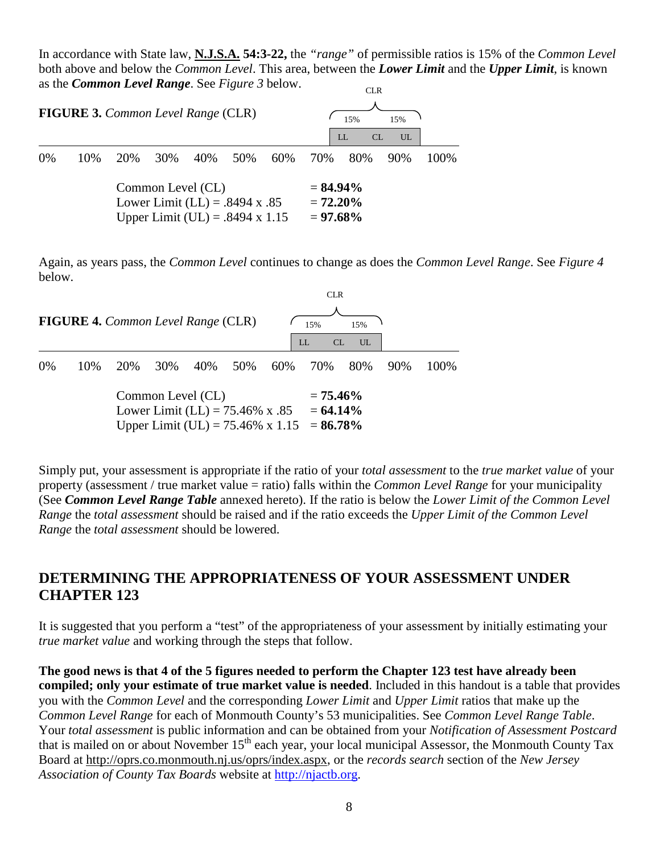In accordance with State law, **N.J.S.A. 54:3-22,** the *"range"* of permissible ratios is 15% of the *Common Level* both above and below the *Common Level*. This area, between the *Lower Limit* and the *Upper Limit*, is known as the *Common Level Range*. See *Figure 3* below. CLR

| <b>FIGURE 3.</b> Common Level Range (CLR) |      |     |                                                                                                   |  |           |     |                                           | 15%<br>LL | 15%<br>CL<br>UL |       |
|-------------------------------------------|------|-----|---------------------------------------------------------------------------------------------------|--|-----------|-----|-------------------------------------------|-----------|-----------------|-------|
| $0\%$                                     | 10\% | 20% | 30%                                                                                               |  | 40\% 50\% | 60% | 70%                                       | 80%       | 90%             | 100\% |
|                                           |      |     | Common Level (CL)<br>Lower Limit (LL) = $.8494 \text{ x } .85$<br>Upper Limit (UL) = .8494 x 1.15 |  |           |     | $= 84.94\%$<br>$= 72.20\%$<br>$= 97.68\%$ |           |                 |       |

Again, as years pass, the *Common Level* continues to change as does the *Common Level Range*. See *Figure 4* below.

|                                                                                                             |     |     |     |         |                            |     | CLR      |                        |     |       |
|-------------------------------------------------------------------------------------------------------------|-----|-----|-----|---------|----------------------------|-----|----------|------------------------|-----|-------|
| <b>FIGURE 4.</b> Common Level Range (CLR)                                                                   |     |     |     |         |                            |     | 15%      | 15%                    |     |       |
|                                                                                                             |     |     |     |         |                            |     | CL<br>LL | $\overline{\text{UL}}$ |     |       |
| $0\%$                                                                                                       | 10% | 20% | 30% | 40% 50% |                            | 60% | 70%      | 80%                    | 90% | 100\% |
| Common Level (CL)<br>Lower Limit (LL) = $75.46\%$ x .85<br>Upper Limit (UL) = 75.46% x 1.15 = <b>86.78%</b> |     |     |     |         | $= 75.46\%$<br>$= 64.14\%$ |     |          |                        |     |       |

Simply put, your assessment is appropriate if the ratio of your *total assessment* to the *true market value* of your property (assessment / true market value = ratio) falls within the *Common Level Range* for your municipality (See *Common Level Range Table* annexed hereto). If the ratio is below the *Lower Limit of the Common Level Range* the *total assessment* should be raised and if the ratio exceeds the *Upper Limit of the Common Level Range* the *total assessment* should be lowered.

## **DETERMINING THE APPROPRIATENESS OF YOUR ASSESSMENT UNDER CHAPTER 123**

It is suggested that you perform a "test" of the appropriateness of your assessment by initially estimating your *true market value* and working through the steps that follow.

**The good news is that 4 of the 5 figures needed to perform the Chapter 123 test have already been compiled; only your estimate of true market value is needed**. Included in this handout is a table that provides you with the *Common Level* and the corresponding *Lower Limit* and *Upper Limit* ratios that make up the *Common Level Range* for each of Monmouth County's 53 municipalities. See *Common Level Range Table*. Your *total assessment* is public information and can be obtained from your *Notification of Assessment Postcard* that is mailed on or about November 15<sup>th</sup> each year, your local municipal Assessor, the Monmouth County Tax Board at http://oprs.co.monmouth.nj.us/oprs/index.aspx, or the *records search* section of the *New Jersey Association of County Tax Boards* website at [http://njactb.org.](http://njactb.org/)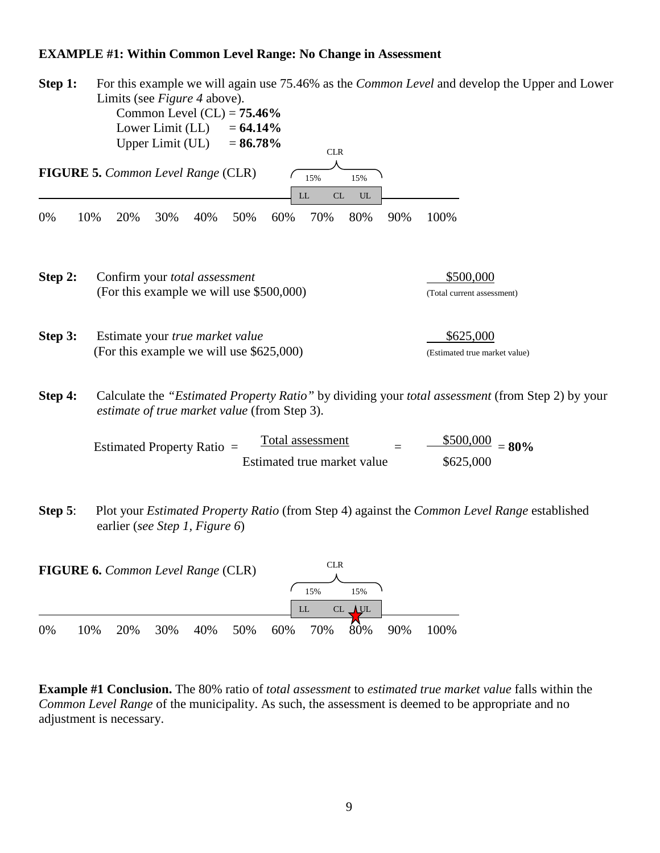#### **EXAMPLE #1: Within Common Level Range: No Change in Assessment**

| Step 1:    | For this example we will again use 75.46% as the <i>Common Level</i> and develop the Upper and Lower<br>Limits (see <i>Figure 4</i> above).<br>Common Level $(CL) = 75.46\%$<br>Lower Limit (LL)<br>$= 64.14\%$<br>Upper Limit (UL)<br>$= 86.78\%$<br><b>CLR</b> |                                            |
|------------|------------------------------------------------------------------------------------------------------------------------------------------------------------------------------------------------------------------------------------------------------------------|--------------------------------------------|
|            | FIGURE 5. Common Level Range (CLR)<br>15%<br>15%<br>$\ensuremath{\textup{CL}}\xspace$<br>UL<br>LL                                                                                                                                                                |                                            |
| 0%         | 10%<br>20%<br>40%<br>50%<br>60%<br>70%<br>80%<br>90%<br>30%                                                                                                                                                                                                      | 100%                                       |
| Step 2:    | Confirm your total assessment<br>(For this example we will use \$500,000)                                                                                                                                                                                        | \$500,000<br>(Total current assessment)    |
| Step 3:    | Estimate your true market value<br>(For this example we will use \$625,000)                                                                                                                                                                                      | \$625,000<br>(Estimated true market value) |
| Step 4:    | Calculate the "Estimated Property Ratio" by dividing your total assessment (from Step 2) by your<br>estimate of true market value (from Step 3).                                                                                                                 |                                            |
|            | <b>Total assessment</b><br>Estimated Property Ratio =<br>Estimated true market value                                                                                                                                                                             | \$500,000<br>$= 80\%$<br>\$625,000         |
| Step $5$ : | Plot your <i>Estimated Property Ratio</i> (from Step 4) against the <i>Common Level Range</i> established<br>earlier (see Step 1, Figure 6)                                                                                                                      |                                            |
|            | <b>CLR</b><br>FIGURE 6. Common Level Range (CLR)<br>15%<br>15%<br>CL UL<br>LL                                                                                                                                                                                    |                                            |

0% 10% 20% 30% 40% 50% 60% 70% 80% 90% 100%

**Example #1 Conclusion.** The 80% ratio of *total assessment* to *estimated true market value* falls within the *Common Level Range* of the municipality. As such, the assessment is deemed to be appropriate and no adjustment is necessary.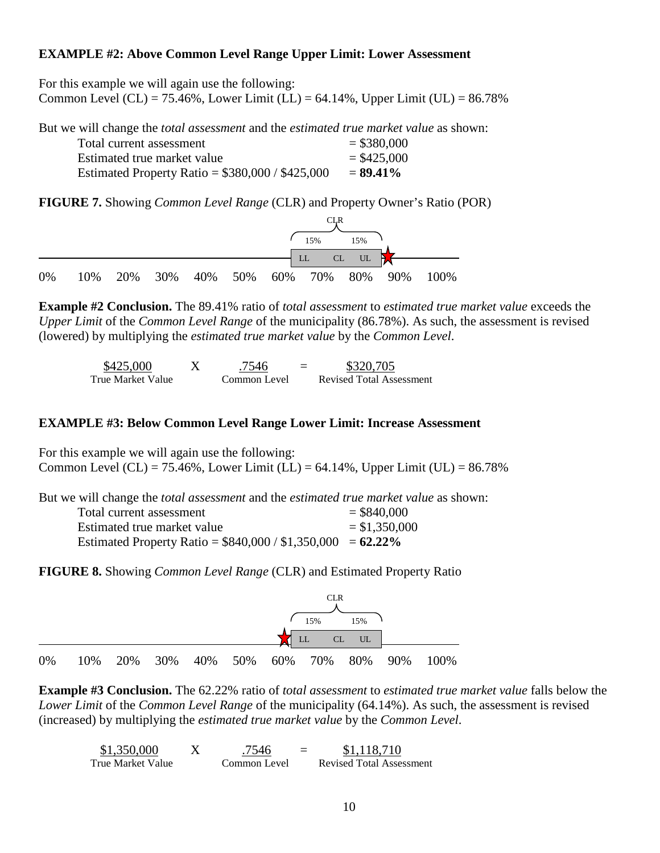#### **EXAMPLE #2: Above Common Level Range Upper Limit: Lower Assessment**

For this example we will again use the following: Common Level (CL) = 75.46%, Lower Limit (LL) = 64.14%, Upper Limit (UL) =  $86.78\%$ 

But we will change the *total assessment* and the *estimated true market value* as shown:

| Total current assessment                         | $=$ \$380,000 |
|--------------------------------------------------|---------------|
| Estimated true market value                      | $=$ \$425,000 |
| Estimated Property Ratio = $$380,000 / $425,000$ | $= 89.41\%$   |

**FIGURE 7.** Showing *Common Level Range* (CLR) and Property Owner's Ratio (POR)



**Example #2 Conclusion.** The 89.41% ratio of *total assessment* to *estimated true market value* exceeds the *Upper Limit* of the *Common Level Range* of the municipality (86.78%). As such, the assessment is revised (lowered) by multiplying the *estimated true market value* by the *Common Level*.

| \$425,000         | 7546         | \$320,705                       |
|-------------------|--------------|---------------------------------|
| True Market Value | Common Level | <b>Revised Total Assessment</b> |

#### **EXAMPLE #3: Below Common Level Range Lower Limit: Increase Assessment**

For this example we will again use the following: Common Level (CL) = 75.46%, Lower Limit (LL) = 64.14%, Upper Limit (UL) =  $86.78\%$ 

But we will change the *total assessment* and the *estimated true market value* as shown:

| Total current assessment                                     | $=$ \$840,000  |
|--------------------------------------------------------------|----------------|
| Estimated true market value                                  | $= $1,350,000$ |
| Estimated Property Ratio = $$840,000 / $1,350,000 = 62.22\%$ |                |

**FIGURE 8.** Showing *Common Level Range* (CLR) and Estimated Property Ratio



**Example #3 Conclusion.** The 62.22% ratio of *total assessment* to *estimated true market value* falls below the *Lower Limit* of the *Common Level Range* of the municipality (64.14%). As such, the assessment is revised (increased) by multiplying the *estimated true market value* by the *Common Level*.

| \$1,350,000        | 7546         | \$1,118,710                     |
|--------------------|--------------|---------------------------------|
| True Market Value- | Common Level | <b>Revised Total Assessment</b> |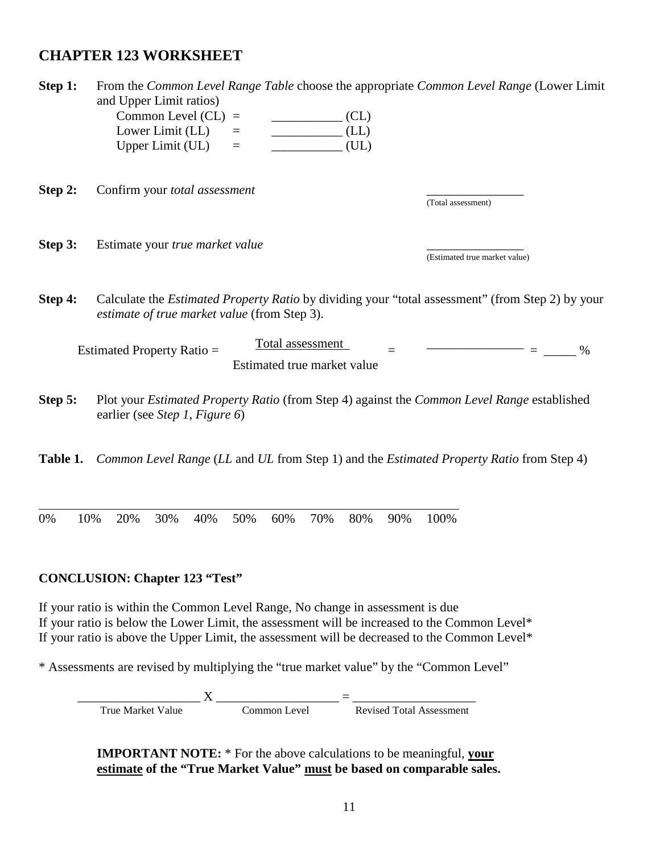## **CHAPTER 123 WORKSHEET**

| Step 1:  | and Upper Limit ratios)<br>Common Level $CL$ ) =<br>Lower Limit (LL)<br>Upper Limit (UL) | CL)<br>(LL)<br>(UL)<br>$\equiv$                                                                                                             | From the Common Level Range Table choose the appropriate Common Level Range (Lower Limit                |  |  |  |  |
|----------|------------------------------------------------------------------------------------------|---------------------------------------------------------------------------------------------------------------------------------------------|---------------------------------------------------------------------------------------------------------|--|--|--|--|
| Step 2:  | Confirm your total assessment                                                            |                                                                                                                                             | (Total assessment)                                                                                      |  |  |  |  |
| Step 3:  | Estimate your true market value                                                          |                                                                                                                                             | (Estimated true market value)                                                                           |  |  |  |  |
| Step 4:  | estimate of true market value (from Step 3).                                             |                                                                                                                                             | Calculate the <i>Estimated Property Ratio</i> by dividing your "total assessment" (from Step 2) by your |  |  |  |  |
|          | Estimated Property Ratio =                                                               | Total assessment<br>Estimated true market value                                                                                             | $\%$                                                                                                    |  |  |  |  |
| Step 5:  |                                                                                          | Plot your <i>Estimated Property Ratio</i> (from Step 4) against the <i>Common Level Range</i> established<br>earlier (see Step 1, Figure 6) |                                                                                                         |  |  |  |  |
| Table 1. |                                                                                          |                                                                                                                                             | Common Level Range (LL and UL from Step 1) and the Estimated Property Ratio from Step 4)                |  |  |  |  |
|          |                                                                                          |                                                                                                                                             |                                                                                                         |  |  |  |  |

0% 10% 20% 30% 40% 50% 60% 70% 80% 90% 100%

#### **CONCLUSION: Chapter 123 "Test"**

If your ratio is within the Common Level Range, No change in assessment is due If your ratio is below the Lower Limit, the assessment will be increased to the Common Level\* If your ratio is above the Upper Limit, the assessment will be decreased to the Common Level\*

\* Assessments are revised by multiplying the "true market value" by the "Common Level"

\_\_\_\_\_\_\_\_\_\_\_\_\_\_\_\_\_\_\_ X \_\_\_\_\_\_\_\_\_\_\_\_\_\_\_\_\_\_\_ = \_\_\_\_\_\_\_\_\_\_\_\_\_\_\_\_\_\_\_ True Market Value Common Level Revised Total Assessment

**IMPORTANT NOTE:** \* For the above calculations to be meaningful, **your estimate of the "True Market Value" must be based on comparable sales.**